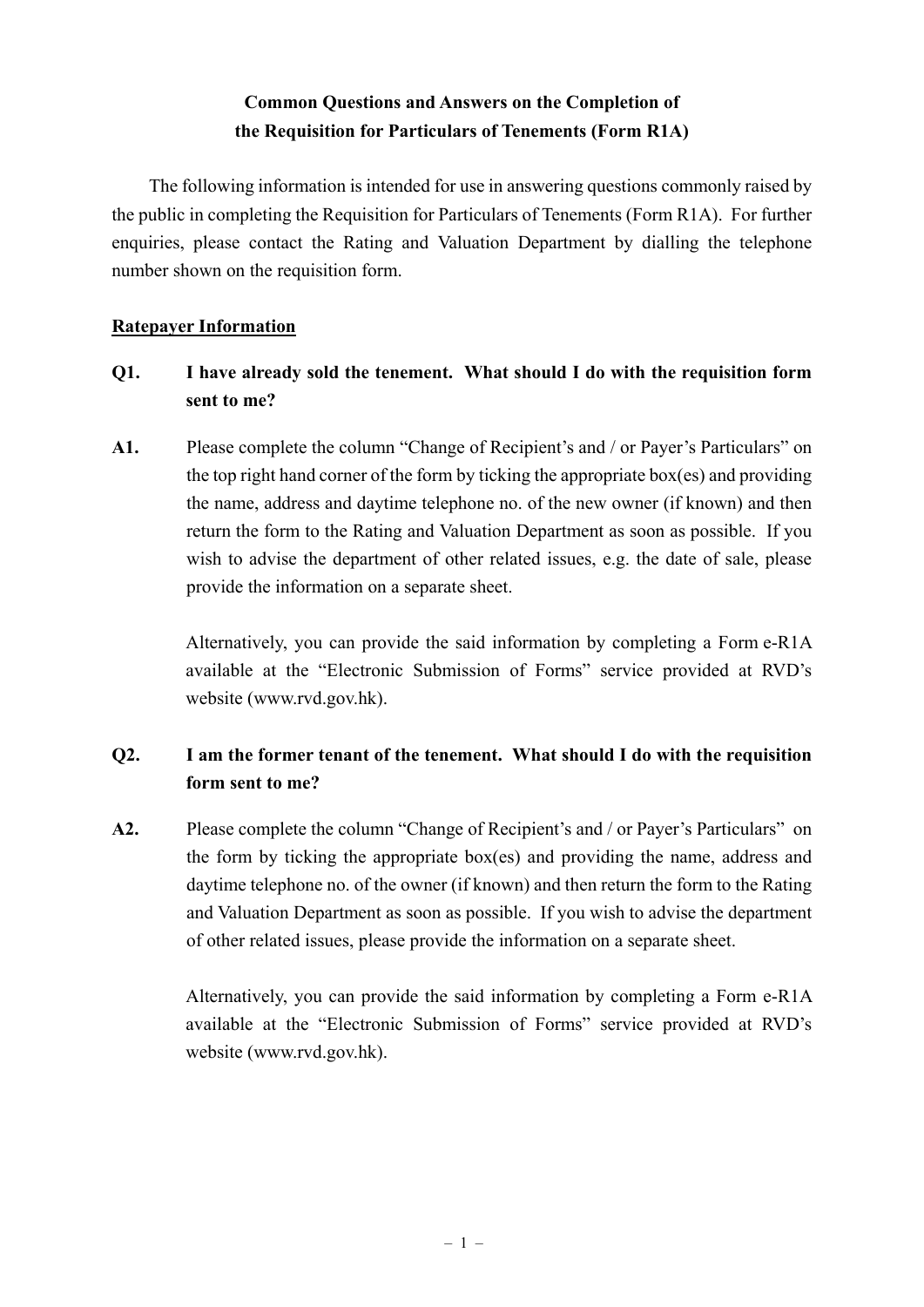# **Common Questions and Answers on the Completion of the Requisition for Particulars of Tenements (Form R1A)**

The following information is intended for use in answering questions commonly raised by the public in completing the Requisition for Particulars of Tenements (Form R1A). For further enquiries, please contact the Rating and Valuation Department by dialling the telephone number shown on the requisition form.

### **Ratepayer Information**

# **Q1. I have already sold the tenement. What should I do with the requisition form sent to me?**

**A1.** Please complete the column "Change of Recipient's and / or Payer's Particulars" on the top right hand corner of the form by ticking the appropriate box(es) and providing the name, address and daytime telephone no. of the new owner (if known) and then return the form to the Rating and Valuation Department as soon as possible. If you wish to advise the department of other related issues, e.g. the date of sale, please provide the information on a separate sheet.

> Alternatively, you can provide the said information by completing a Form e-R1A available at the "Electronic Submission of Forms" service provided at RVD's website (www.rvd.gov.hk).

# **Q2. I am the former tenant of the tenement. What should I do with the requisition form sent to me?**

**A2.** Please complete the column "Change of Recipient's and / or Payer's Particulars" on the form by ticking the appropriate box(es) and providing the name, address and daytime telephone no. of the owner (if known) and then return the form to the Rating and Valuation Department as soon as possible. If you wish to advise the department of other related issues, please provide the information on a separate sheet.

> Alternatively, you can provide the said information by completing a Form e-R1A available at the "Electronic Submission of Forms" service provided at RVD's website (www.rvd.gov.hk).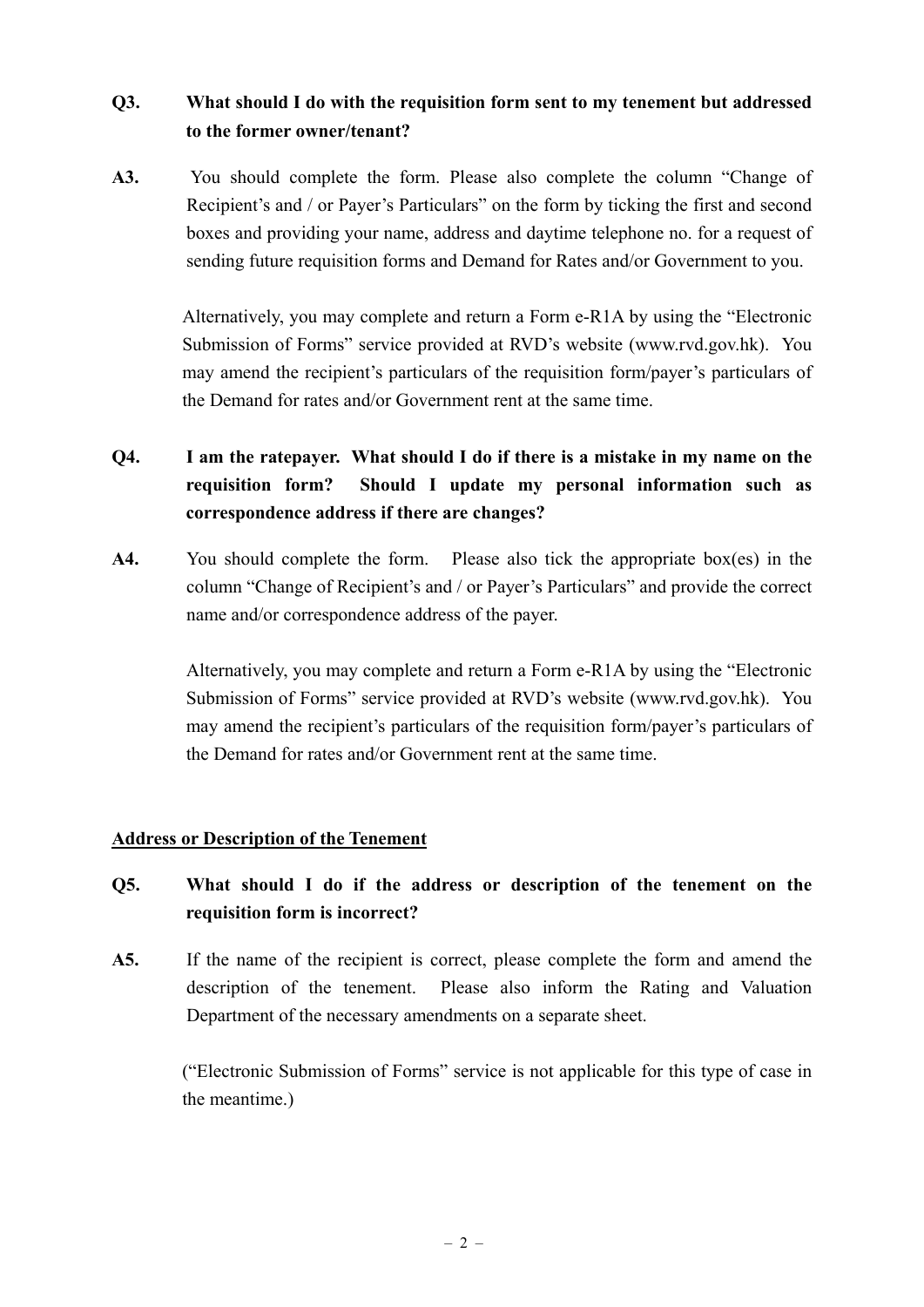## **Q3. What should I do with the requisition form sent to my tenement but addressed to the former owner/tenant?**

**A3.** You should complete the form. Please also complete the column "Change of Recipient's and / or Payer's Particulars" on the form by ticking the first and second boxes and providing your name, address and daytime telephone no. for a request of sending future requisition forms and Demand for Rates and/or Government to you.

> Alternatively, you may complete and return a Form e-R1A by using the "Electronic Submission of Forms" service provided at RVD's website (www.rvd.gov.hk). You may amend the recipient's particulars of the requisition form/payer's particulars of the Demand for rates and/or Government rent at the same time.

# **Q4. I am the ratepayer. What should I do if there is a mistake in my name on the requisition form? Should I update my personal information such as correspondence address if there are changes?**

**A4.** You should complete the form. Please also tick the appropriate box(es) in the column "Change of Recipient's and / or Payer's Particulars" and provide the correct name and/or correspondence address of the payer.

> Alternatively, you may complete and return a Form e-R1A by using the "Electronic Submission of Forms" service provided at RVD's website (www.rvd.gov.hk). You may amend the recipient's particulars of the requisition form/payer's particulars of the Demand for rates and/or Government rent at the same time.

### **Address or Description of the Tenement**

# **Q5. What should I do if the address or description of the tenement on the requisition form is incorrect?**

**A5.** If the name of the recipient is correct, please complete the form and amend the description of the tenement. Please also inform the Rating and Valuation Department of the necessary amendments on a separate sheet.

> ("Electronic Submission of Forms" service is not applicable for this type of case in the meantime.)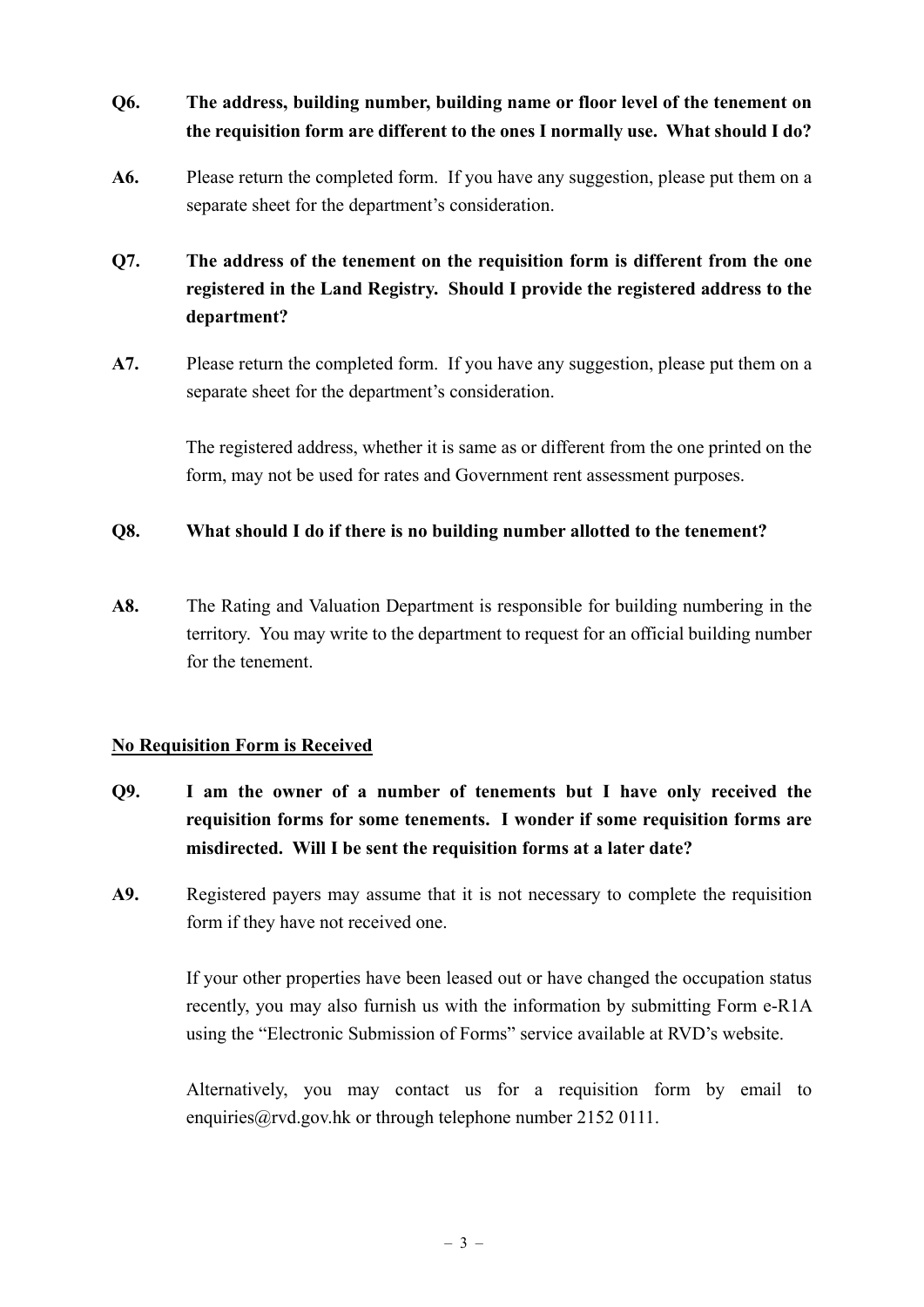# **Q6. The address, building number, building name or floor level of the tenement on the requisition form are different to the ones I normally use. What should I do?**

**A6.** Please return the completed form. If you have any suggestion, please put them on a separate sheet for the department's consideration.

# **Q7. The address of the tenement on the requisition form is different from the one registered in the Land Registry. Should I provide the registered address to the department?**

**A7.** Please return the completed form. If you have any suggestion, please put them on a separate sheet for the department's consideration.

> The registered address, whether it is same as or different from the one printed on the form, may not be used for rates and Government rent assessment purposes.

### **Q8. What should I do if there is no building number allotted to the tenement?**

**A8.** The Rating and Valuation Department is responsible for building numbering in the territory. You may write to the department to request for an official building number for the tenement.

## **No Requisition Form is Received**

- **Q9. I am the owner of a number of tenements but I have only received the requisition forms for some tenements. I wonder if some requisition forms are misdirected. Will I be sent the requisition forms at a later date?**
- **A9.** Registered payers may assume that it is not necessary to complete the requisition form if they have not received one.

If your other properties have been leased out or have changed the occupation status recently, you may also furnish us with the information by submitting Form e-R1A using the "Electronic Submission of Forms" service available at RVD's website.

Alternatively, you may contact us for a requisition form by email to enquiries@rvd.gov.hk or through telephone number 2152 0111.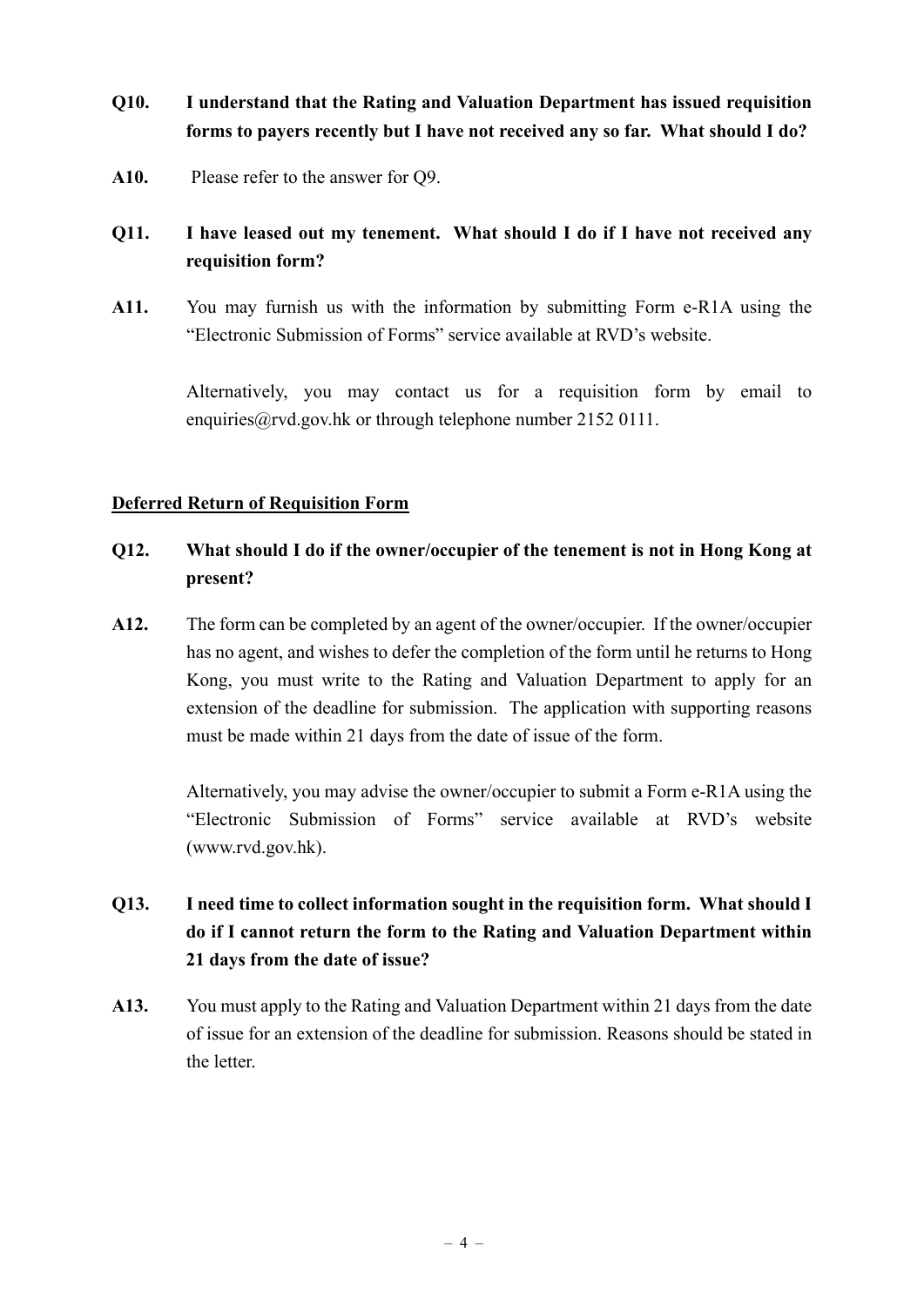# **Q10. I understand that the Rating and Valuation Department has issued requisition forms to payers recently but I have not received any so far. What should I do?**

**A10.** Please refer to the answer for Q9.

# **Q11. I have leased out my tenement. What should I do if I have not received any requisition form?**

**A11.** You may furnish us with the information by submitting Form e-R1A using the "Electronic Submission of Forms" service available at RVD's website.

> Alternatively, you may contact us for a requisition form by email to enquiries  $\hat{a}$  rvd.gov.hk or through telephone number 2152 0111.

### **Deferred Return of Requisition Form**

## **Q12. What should I do if the owner/occupier of the tenement is not in Hong Kong at present?**

**A12.** The form can be completed by an agent of the owner/occupier. If the owner/occupier has no agent, and wishes to defer the completion of the form until he returns to Hong Kong, you must write to the Rating and Valuation Department to apply for an extension of the deadline for submission. The application with supporting reasons must be made within 21 days from the date of issue of the form.

> Alternatively, you may advise the owner/occupier to submit a Form e-R1A using the "Electronic Submission of Forms" service available at RVD's website (www.rvd.gov.hk).

# **Q13. I need time to collect information sought in the requisition form. What should I do if I cannot return the form to the Rating and Valuation Department within 21 days from the date of issue?**

**A13.** You must apply to the Rating and Valuation Department within 21 days from the date of issue for an extension of the deadline for submission. Reasons should be stated in the letter.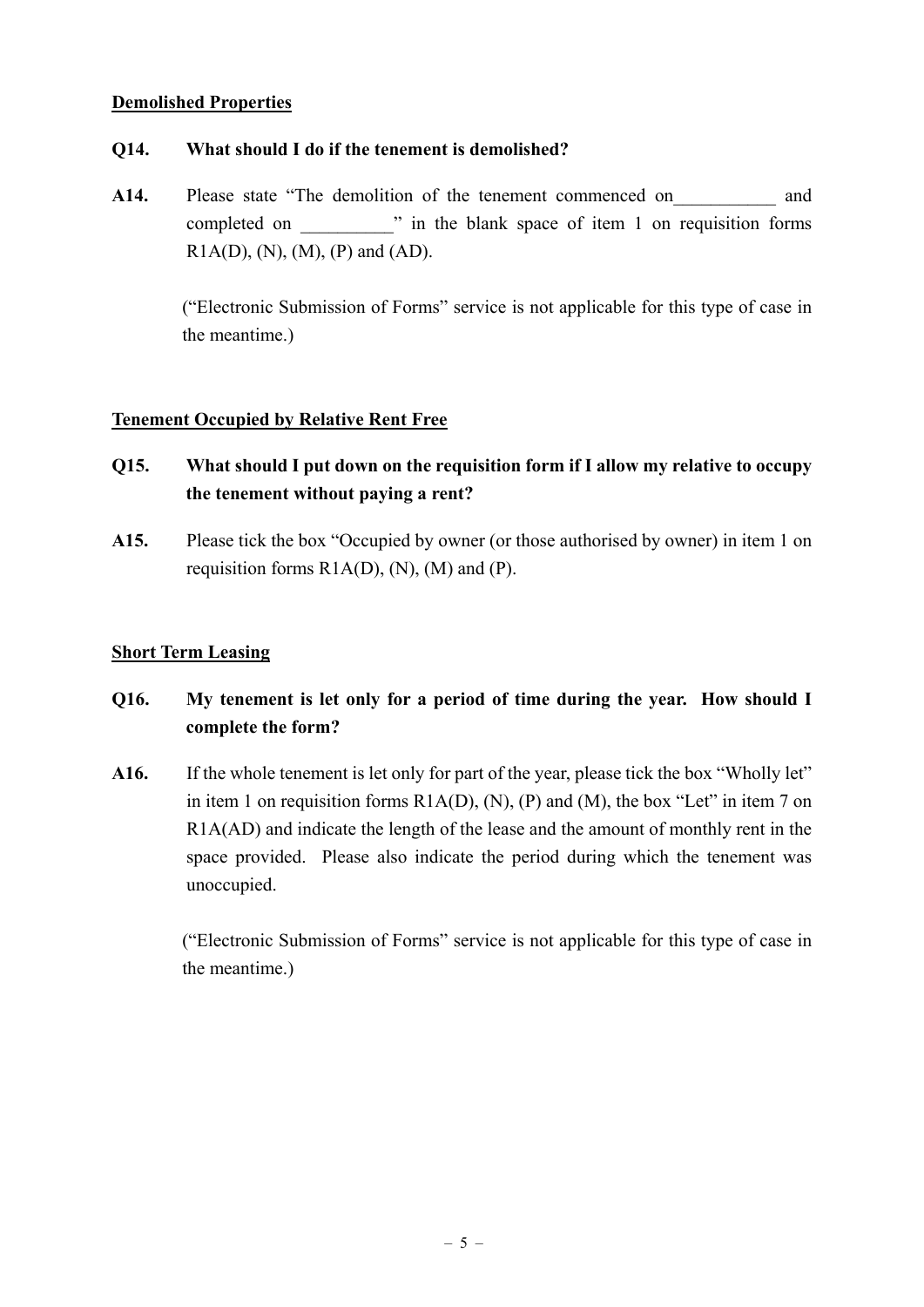#### **Demolished Properties**

### **Q14. What should I do if the tenement is demolished?**

A14. Please state "The demolition of the tenement commenced on and completed on  $\cdots$  in the blank space of item 1 on requisition forms  $R1A(D), (N), (M), (P)$  and  $(AD)$ .

> ("Electronic Submission of Forms" service is not applicable for this type of case in the meantime.)

#### **Tenement Occupied by Relative Rent Free**

- **Q15. What should I put down on the requisition form if I allow my relative to occupy the tenement without paying a rent?**
- **A15.** Please tick the box "Occupied by owner (or those authorised by owner) in item 1 on requisition forms  $R1A(D)$ ,  $(N)$ ,  $(M)$  and  $(P)$ .

### **Short Term Leasing**

# **Q16. My tenement is let only for a period of time during the year. How should I complete the form?**

**A16.** If the whole tenement is let only for part of the year, please tick the box "Wholly let" in item 1 on requisition forms  $R1A(D)$ ,  $(N)$ ,  $(P)$  and  $(M)$ , the box "Let" in item 7 on R1A(AD) and indicate the length of the lease and the amount of monthly rent in the space provided. Please also indicate the period during which the tenement was unoccupied.

> ("Electronic Submission of Forms" service is not applicable for this type of case in the meantime.)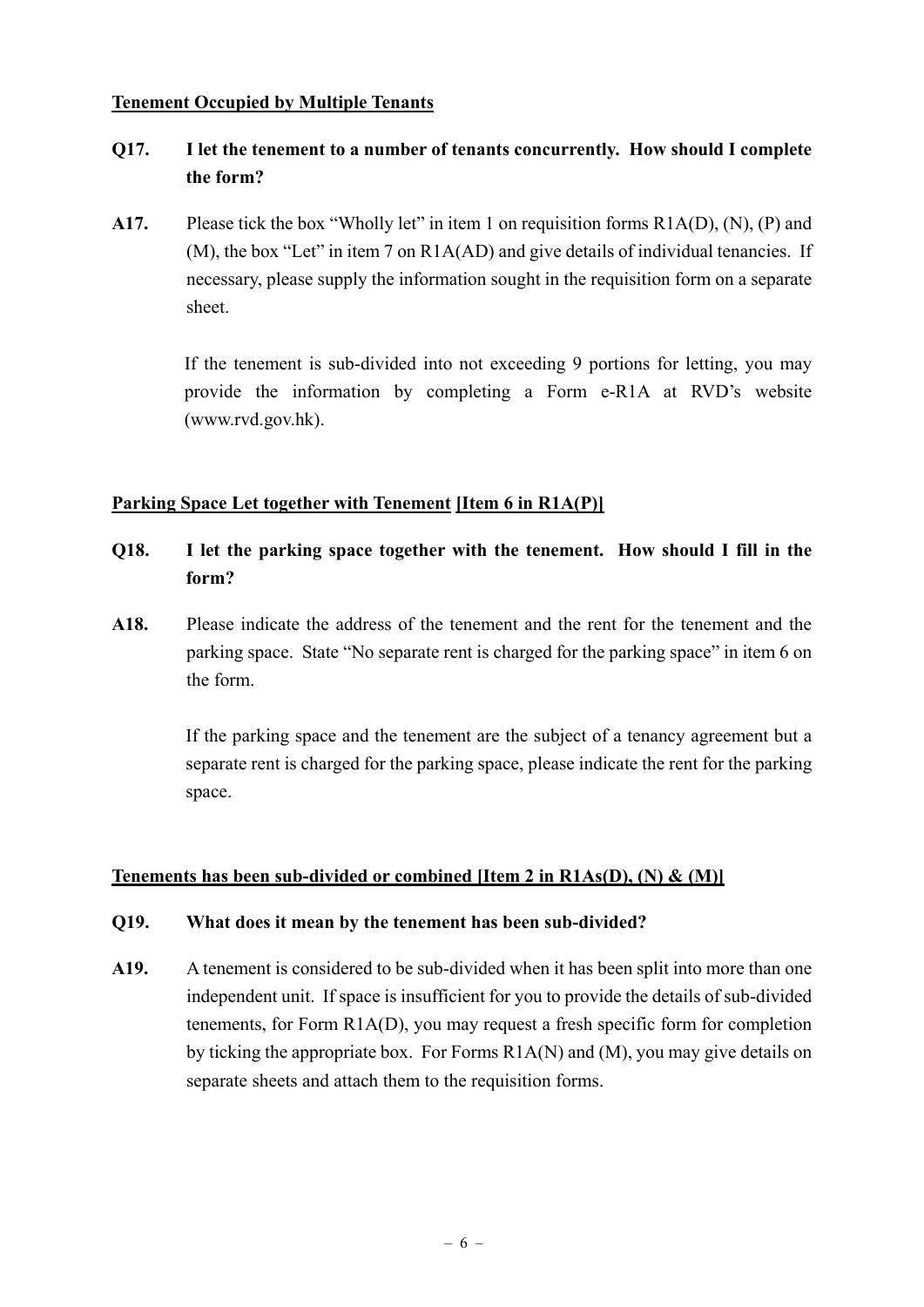#### **Tenement Occupied by Multiple Tenants**

## **Q17. I let the tenement to a number of tenants concurrently. How should I complete the form?**

**A17.** Please tick the box "Wholly let" in item 1 on requisition forms R1A(D), (N), (P) and (M), the box "Let" in item 7 on R1A(AD) and give details of individual tenancies. If necessary, please supply the information sought in the requisition form on a separate sheet.

> If the tenement is sub-divided into not exceeding 9 portions for letting, you may provide the information by completing a Form e-R1A at RVD's website (www.rvd.gov.hk).

### **Parking Space Let together with Tenement [Item 6 in R1A(P)]**

- **Q18. I let the parking space together with the tenement. How should I fill in the form?**
- **A18.** Please indicate the address of the tenement and the rent for the tenement and the parking space. State "No separate rent is charged for the parking space" in item 6 on the form.

 If the parking space and the tenement are the subject of a tenancy agreement but a separate rent is charged for the parking space, please indicate the rent for the parking space.

### **Tenements has been sub-divided or combined [Item 2 in R1As(D), (N) & (M)]**

### **Q19. What does it mean by the tenement has been sub-divided?**

**A19.** A tenement is considered to be sub-divided when it has been split into more than one independent unit. If space is insufficient for you to provide the details of sub-divided tenements, for Form R1A(D), you may request a fresh specific form for completion by ticking the appropriate box. For Forms R1A(N) and (M), you may give details on separate sheets and attach them to the requisition forms.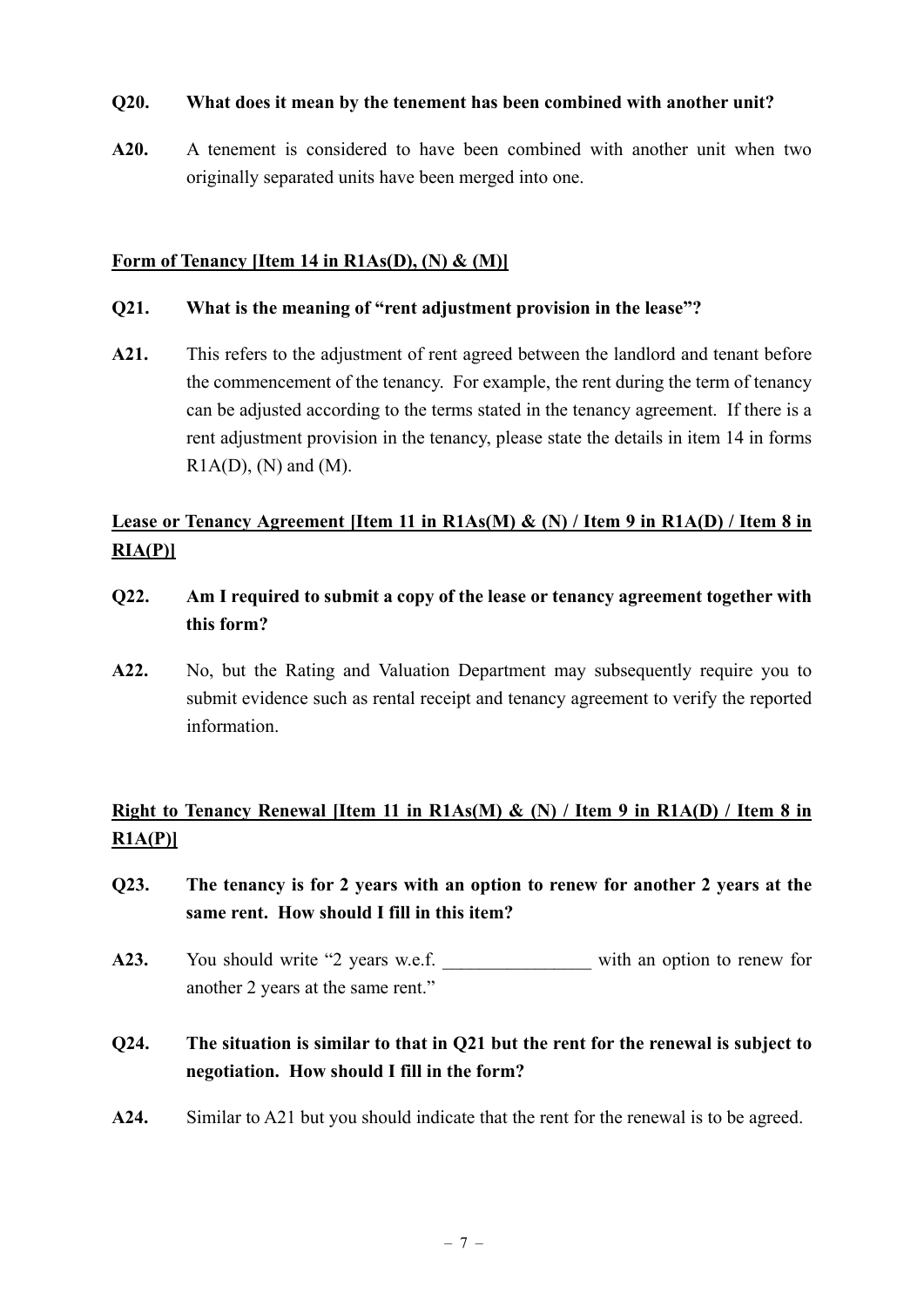#### **Q20. What does it mean by the tenement has been combined with another unit?**

**A20.** A tenement is considered to have been combined with another unit when two originally separated units have been merged into one.

### **Form of Tenancy [Item 14 in R1As(D), (N) & (M)]**

#### **Q21. What is the meaning of "rent adjustment provision in the lease"?**

**A21.** This refers to the adjustment of rent agreed between the landlord and tenant before the commencement of the tenancy. For example, the rent during the term of tenancy can be adjusted according to the terms stated in the tenancy agreement. If there is a rent adjustment provision in the tenancy, please state the details in item 14 in forms  $R1A(D)$ , (N) and (M).

# **Lease or Tenancy Agreement [Item 11 in R1As(M) & (N) / Item 9 in R1A(D) / Item 8 in RIA(P)]**

- **Q22. Am I required to submit a copy of the lease or tenancy agreement together with this form?**
- **A22.** No, but the Rating and Valuation Department may subsequently require you to submit evidence such as rental receipt and tenancy agreement to verify the reported information.

## **Right to Tenancy Renewal [Item 11 in R1As(M) & (N) / Item 9 in R1A(D) / Item 8 in R1A(P)]**

- **Q23. The tenancy is for 2 years with an option to renew for another 2 years at the same rent. How should I fill in this item?**
- A23. You should write "2 years w.e.f. with an option to renew for another 2 years at the same rent."

# **Q24. The situation is similar to that in Q21 but the rent for the renewal is subject to negotiation. How should I fill in the form?**

**A24.** Similar to A21 but you should indicate that the rent for the renewal is to be agreed.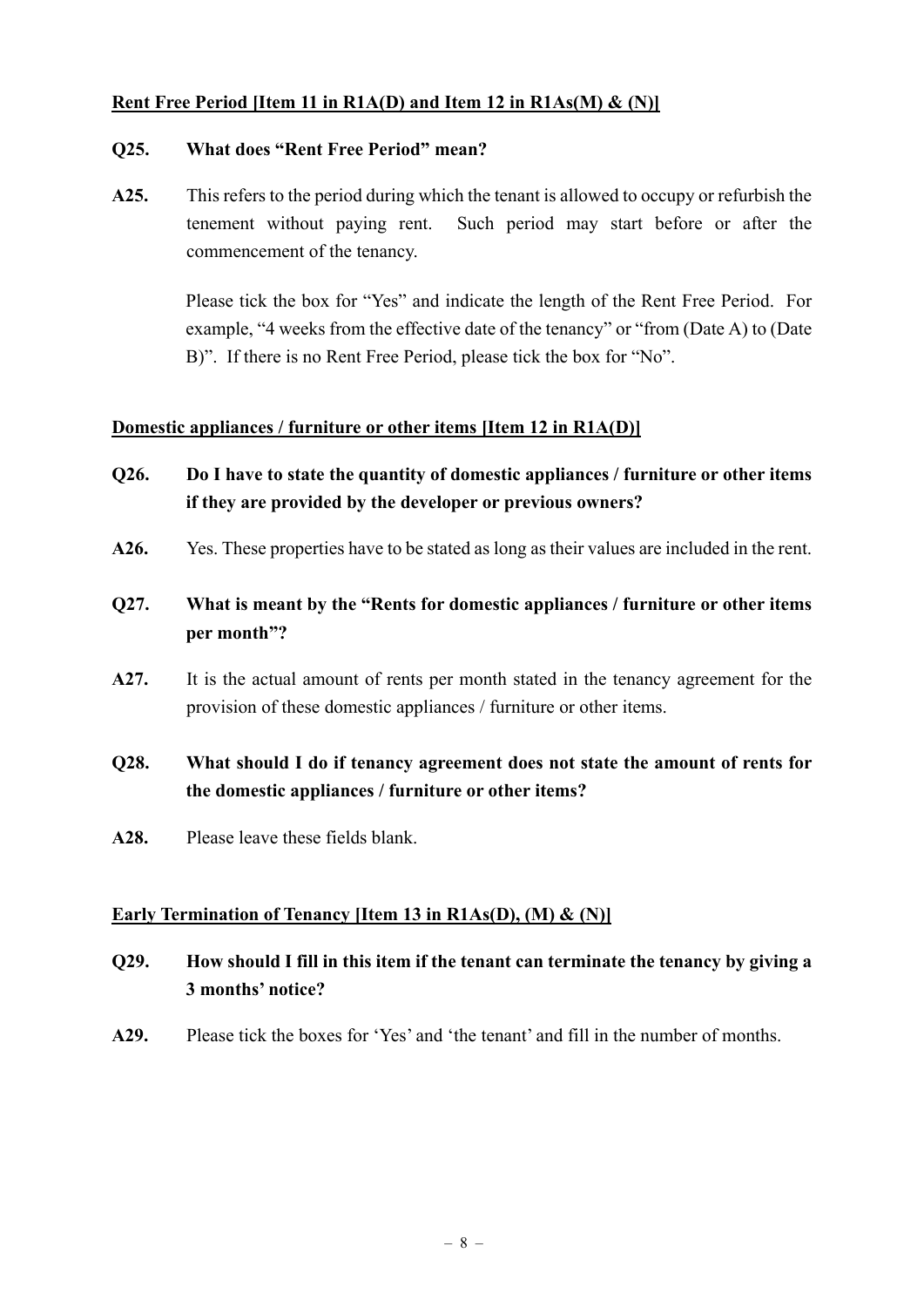### **Rent Free Period [Item 11 in R1A(D) and Item 12 in R1As(M) & (N)]**

#### **Q25. What does "Rent Free Period" mean?**

**A25.** This refers to the period during which the tenant is allowed to occupy or refurbish the tenement without paying rent. Such period may start before or after the commencement of the tenancy.

> Please tick the box for "Yes" and indicate the length of the Rent Free Period. For example, "4 weeks from the effective date of the tenancy" or "from (Date A) to (Date B)". If there is no Rent Free Period, please tick the box for "No".

#### **Domestic appliances / furniture or other items [Item 12 in R1A(D)]**

- **Q26. Do I have to state the quantity of domestic appliances / furniture or other items if they are provided by the developer or previous owners?**
- **A26.** Yes. These properties have to be stated as long as their values are included in the rent.
- **Q27. What is meant by the "Rents for domestic appliances / furniture or other items per month"?**
- **A27.** It is the actual amount of rents per month stated in the tenancy agreement for the provision of these domestic appliances / furniture or other items.

# **Q28. What should I do if tenancy agreement does not state the amount of rents for the domestic appliances / furniture or other items?**

**A28.** Please leave these fields blank.

### **Early Termination of Tenancy [Item 13 in R1As(D), (M) & (N)]**

- **Q29. How should I fill in this item if the tenant can terminate the tenancy by giving a 3 months' notice?**
- **A29.** Please tick the boxes for 'Yes' and 'the tenant' and fill in the number of months.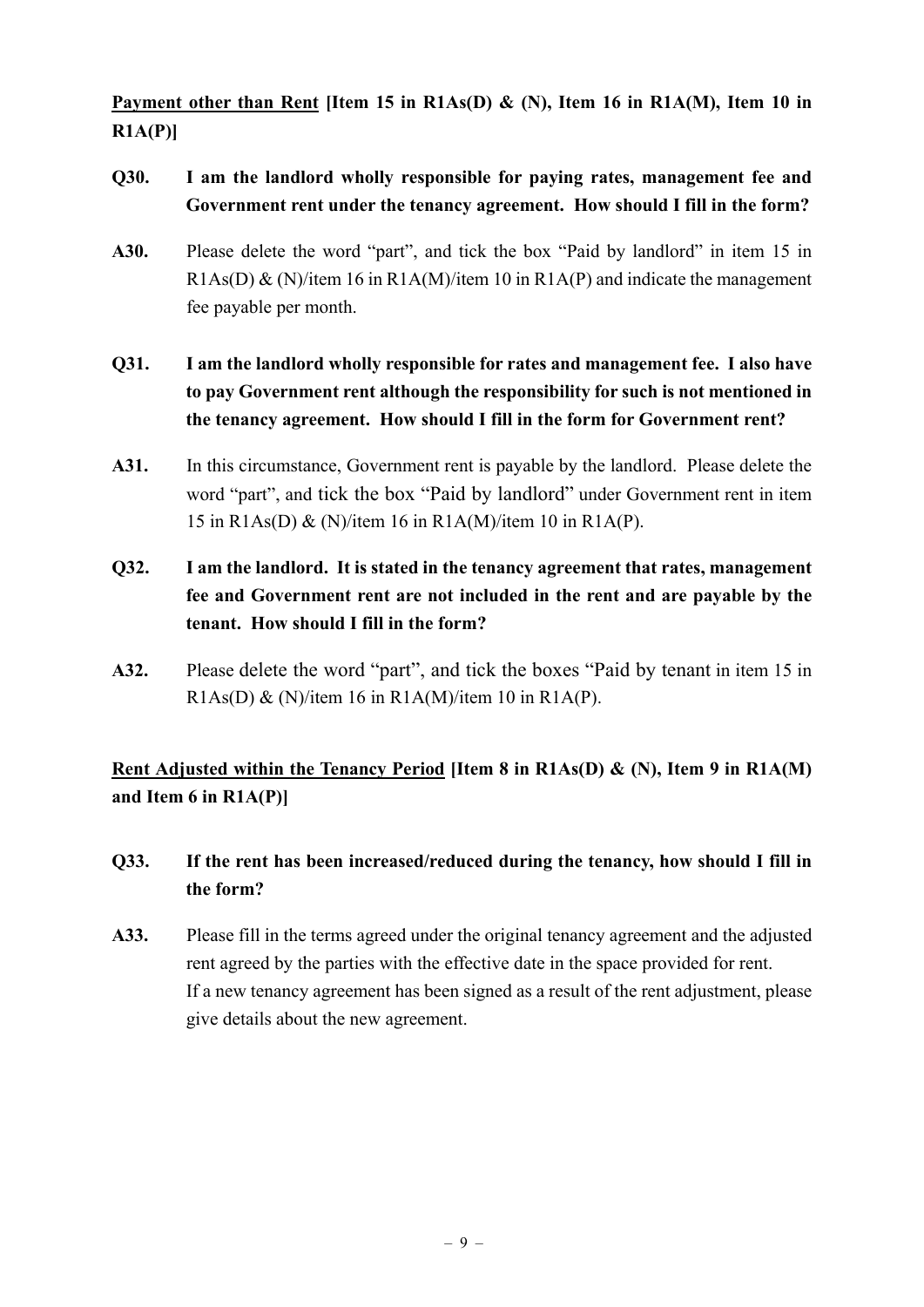**Payment other than Rent [Item 15 in R1As(D) & (N), Item 16 in R1A(M), Item 10 in R1A(P)]** 

- **Q30. I am the landlord wholly responsible for paying rates, management fee and Government rent under the tenancy agreement. How should I fill in the form?**
- **A30.** Please delete the word "part", and tick the box "Paid by landlord" in item 15 in  $R1As(D) & (N)/item 16 in R1A(M)/item 10 in R1A(P)$  and indicate the management fee payable per month.
- **Q31. I am the landlord wholly responsible for rates and management fee. I also have to pay Government rent although the responsibility for such is not mentioned in the tenancy agreement. How should I fill in the form for Government rent?**
- **A31.** In this circumstance, Government rent is payable by the landlord. Please delete the word "part", and tick the box "Paid by landlord" under Government rent in item 15 in R1As(D) & (N)/item 16 in R1A(M)/item 10 in R1A(P).
- **Q32. I am the landlord. It is stated in the tenancy agreement that rates, management fee and Government rent are not included in the rent and are payable by the tenant. How should I fill in the form?**
- **A32.** Please delete the word "part", and tick the boxes "Paid by tenant in item 15 in R1As(D) & (N)/item 16 in R1A(M)/item 10 in R1A(P).

**Rent Adjusted within the Tenancy Period [Item 8 in R1As(D) & (N), Item 9 in R1A(M) and Item 6 in R1A(P)]** 

- **Q33. If the rent has been increased/reduced during the tenancy, how should I fill in the form?**
- **A33.** Please fill in the terms agreed under the original tenancy agreement and the adjusted rent agreed by the parties with the effective date in the space provided for rent. If a new tenancy agreement has been signed as a result of the rent adjustment, please give details about the new agreement.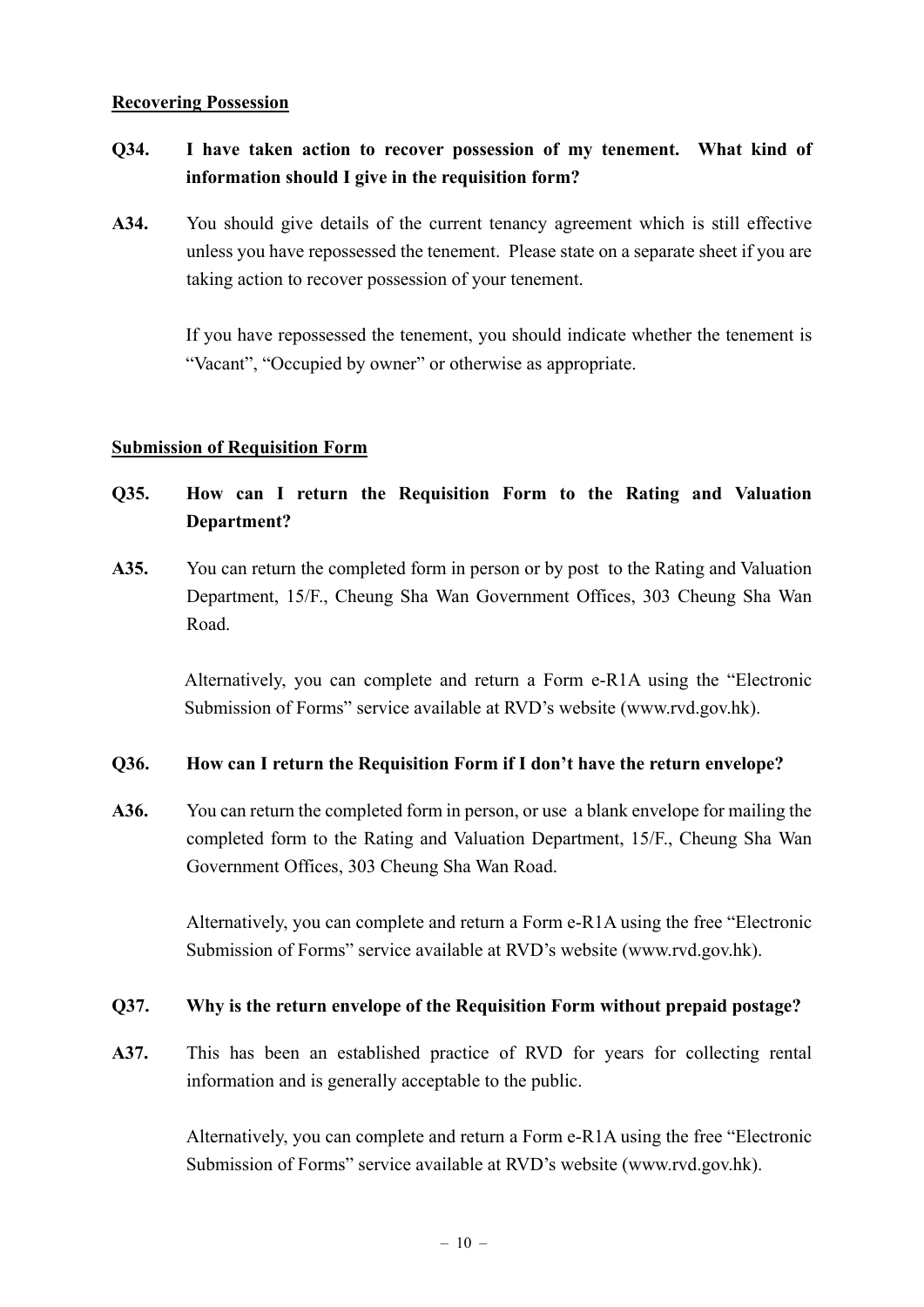#### **Recovering Possession**

# **Q34. I have taken action to recover possession of my tenement. What kind of information should I give in the requisition form?**

**A34.** You should give details of the current tenancy agreement which is still effective unless you have repossessed the tenement. Please state on a separate sheet if you are taking action to recover possession of your tenement.

> If you have repossessed the tenement, you should indicate whether the tenement is "Vacant", "Occupied by owner" or otherwise as appropriate.

#### **Submission of Requisition Form**

- **Q35. How can I return the Requisition Form to the Rating and Valuation Department?**
- **A35.** You can return the completed form in person or by post to the Rating and Valuation Department, 15/F., Cheung Sha Wan Government Offices, 303 Cheung Sha Wan Road.

Alternatively, you can complete and return a Form e-R1A using the "Electronic Submission of Forms" service available at RVD's website (www.rvd.gov.hk).

#### **Q36. How can I return the Requisition Form if I don't have the return envelope?**

**A36.** You can return the completed form in person, or use a blank envelope for mailing the completed form to the Rating and Valuation Department, 15/F., Cheung Sha Wan Government Offices, 303 Cheung Sha Wan Road.

> Alternatively, you can complete and return a Form e-R1A using the free "Electronic Submission of Forms" service available at RVD's website (www.rvd.gov.hk).

### **Q37. Why is the return envelope of the Requisition Form without prepaid postage?**

**A37.** This has been an established practice of RVD for years for collecting rental information and is generally acceptable to the public.

> Alternatively, you can complete and return a Form e-R1A using the free "Electronic Submission of Forms" service available at RVD's website (www.rvd.gov.hk).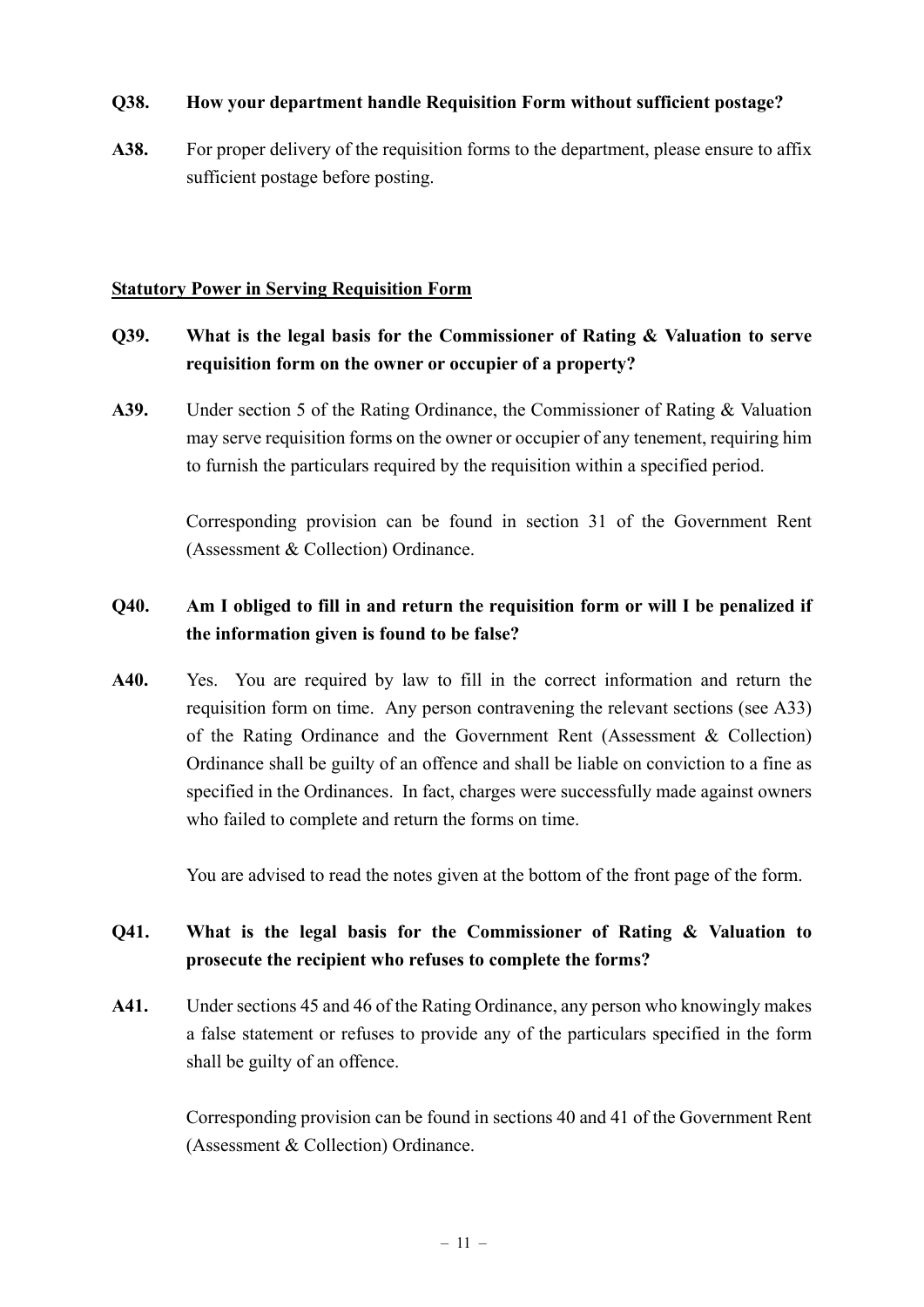### **Q38. How your department handle Requisition Form without sufficient postage?**

**A38.** For proper delivery of the requisition forms to the department, please ensure to affix sufficient postage before posting.

### **Statutory Power in Serving Requisition Form**

## **Q39. What is the legal basis for the Commissioner of Rating & Valuation to serve requisition form on the owner or occupier of a property?**

**A39.** Under section 5 of the Rating Ordinance, the Commissioner of Rating & Valuation may serve requisition forms on the owner or occupier of any tenement, requiring him to furnish the particulars required by the requisition within a specified period.

> Corresponding provision can be found in section 31 of the Government Rent (Assessment & Collection) Ordinance.

## **Q40. Am I obliged to fill in and return the requisition form or will I be penalized if the information given is found to be false?**

**A40.** Yes. You are required by law to fill in the correct information and return the requisition form on time. Any person contravening the relevant sections (see A33) of the Rating Ordinance and the Government Rent (Assessment & Collection) Ordinance shall be guilty of an offence and shall be liable on conviction to a fine as specified in the Ordinances. In fact, charges were successfully made against owners who failed to complete and return the forms on time.

You are advised to read the notes given at the bottom of the front page of the form.

# **Q41. What is the legal basis for the Commissioner of Rating & Valuation to prosecute the recipient who refuses to complete the forms?**

**A41.** Under sections 45 and 46 of the Rating Ordinance, any person who knowingly makes a false statement or refuses to provide any of the particulars specified in the form shall be guilty of an offence.

> Corresponding provision can be found in sections 40 and 41 of the Government Rent (Assessment & Collection) Ordinance.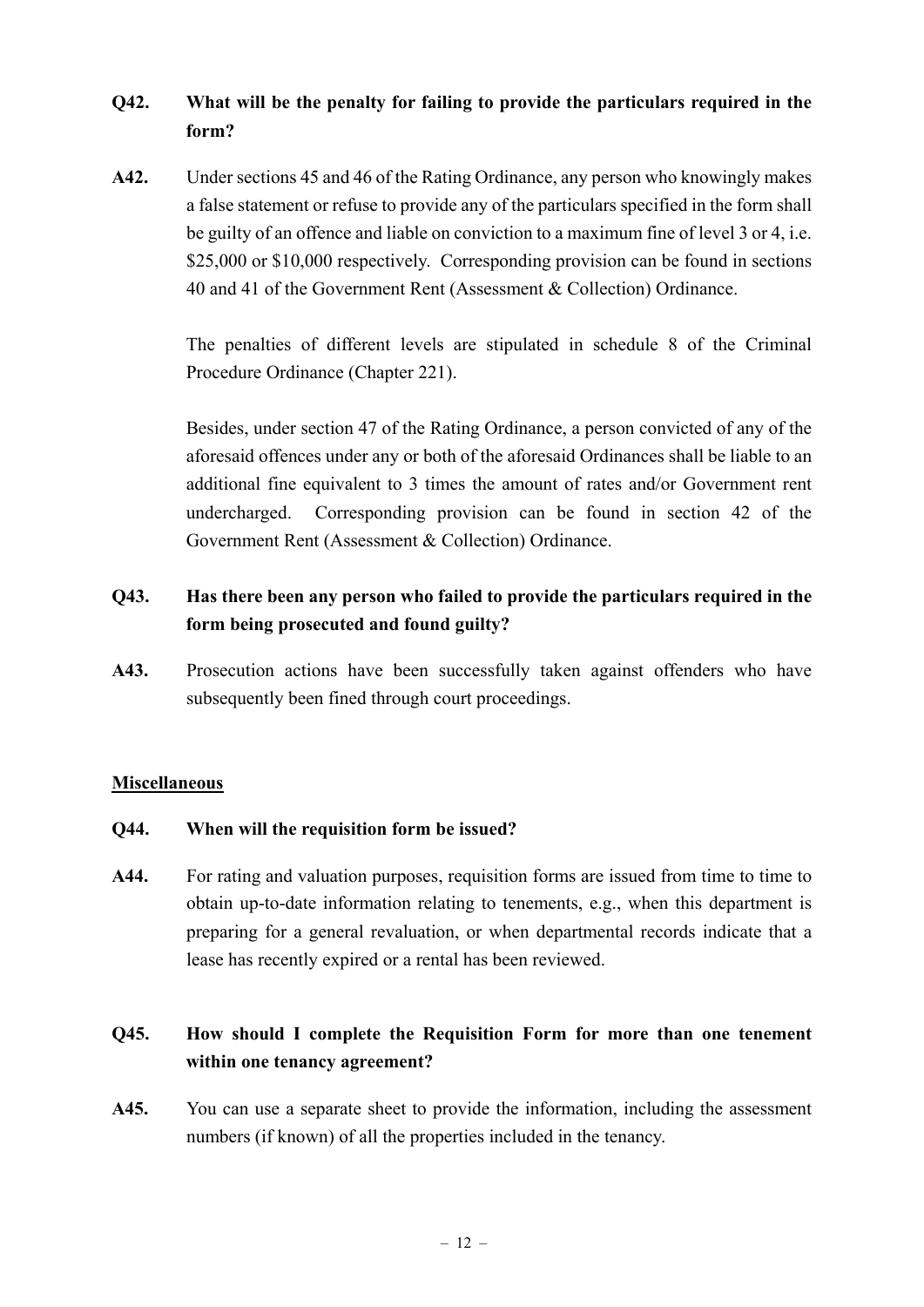# **Q42. What will be the penalty for failing to provide the particulars required in the form?**

**A42.** Under sections 45 and 46 of the Rating Ordinance, any person who knowingly makes a false statement or refuse to provide any of the particulars specified in the form shall be guilty of an offence and liable on conviction to a maximum fine of level 3 or 4, i.e. \$25,000 or \$10,000 respectively. Corresponding provision can be found in sections 40 and 41 of the Government Rent (Assessment & Collection) Ordinance.

> The penalties of different levels are stipulated in schedule 8 of the Criminal Procedure Ordinance (Chapter 221).

> Besides, under section 47 of the Rating Ordinance, a person convicted of any of the aforesaid offences under any or both of the aforesaid Ordinances shall be liable to an additional fine equivalent to 3 times the amount of rates and/or Government rent undercharged. Corresponding provision can be found in section 42 of the Government Rent (Assessment & Collection) Ordinance.

# **Q43. Has there been any person who failed to provide the particulars required in the form being prosecuted and found guilty?**

**A43.** Prosecution actions have been successfully taken against offenders who have subsequently been fined through court proceedings.

### **Miscellaneous**

### **Q44. When will the requisition form be issued?**

**A44.** For rating and valuation purposes, requisition forms are issued from time to time to obtain up-to-date information relating to tenements, e.g., when this department is preparing for a general revaluation, or when departmental records indicate that a lease has recently expired or a rental has been reviewed.

# **Q45. How should I complete the Requisition Form for more than one tenement within one tenancy agreement?**

**A45.** You can use a separate sheet to provide the information, including the assessment numbers (if known) of all the properties included in the tenancy.